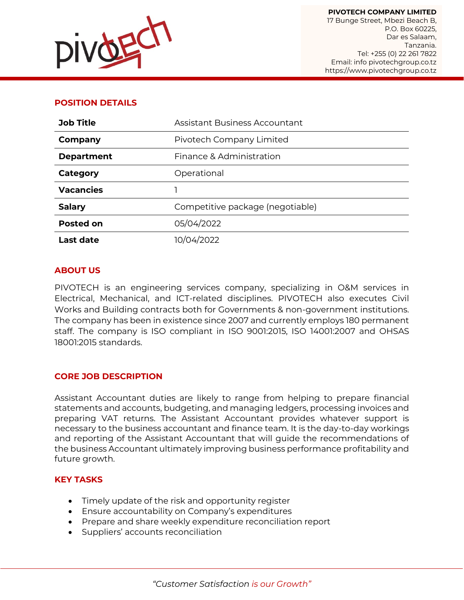

### **POSITION DETAILS**

| <b>Job Title</b>  | <b>Assistant Business Accountant</b> |
|-------------------|--------------------------------------|
| Company           | Pivotech Company Limited             |
| <b>Department</b> | Finance & Administration             |
| Category          | Operational                          |
| <b>Vacancies</b>  |                                      |
| <b>Salary</b>     | Competitive package (negotiable)     |
| <b>Posted on</b>  | 05/04/2022                           |
| <b>Last date</b>  | 10/04/2022                           |

#### **ABOUT US**

PIVOTECH is an engineering services company, specializing in O&M services in Electrical, Mechanical, and ICT-related disciplines. PIVOTECH also executes Civil Works and Building contracts both for Governments & non-government institutions. The company has been in existence since 2007 and currently employs 180 permanent staff. The company is ISO compliant in ISO 9001:2015, ISO 14001:2007 and OHSAS 18001:2015 standards.

#### **CORE JOB DESCRIPTION**

Assistant Accountant duties are likely to range from helping to prepare financial statements and accounts, budgeting, and managing ledgers, processing invoices and preparing VAT returns. The Assistant Accountant provides whatever support is necessary to the business accountant and finance team. It is the day-to-day workings and reporting of the Assistant Accountant that will guide the recommendations of the business Accountant ultimately improving business performance profitability and future growth.

#### **KEY TASKS**

- Timely update of the risk and opportunity register
- Ensure accountability on Company's expenditures
- Prepare and share weekly expenditure reconciliation report
- Suppliers' accounts reconciliation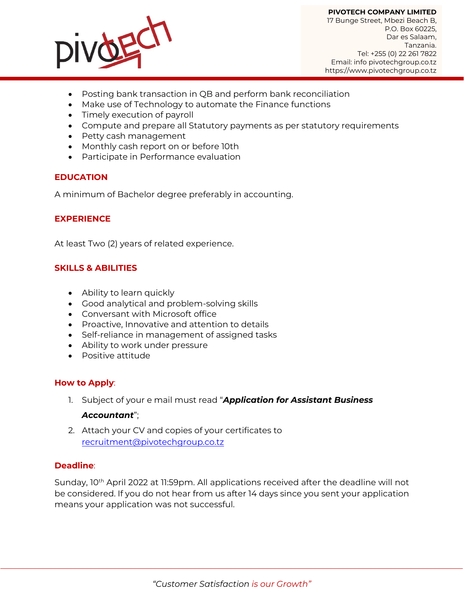

**PIVOTECH COMPANY LIMITED** 17 Bunge Street, Mbezi Beach B, P.O. Box 60225, Dar es Salaam, Tanzania. Tel: +255 (0) 22 261 7822 Email: info pivotechgroup.co.tz https://www.pivotechgroup.co.tz

- Posting bank transaction in QB and perform bank reconciliation
- Make use of Technology to automate the Finance functions
- Timely execution of payroll
- Compute and prepare all Statutory payments as per statutory requirements
- Petty cash management
- Monthly cash report on or before 10th
- Participate in Performance evaluation

#### **EDUCATION**

A minimum of Bachelor degree preferably in accounting.

## **EXPERIENCE**

At least Two (2) years of related experience.

#### **SKILLS & ABILITIES**

- Ability to learn quickly
- Good analytical and problem-solving skills
- Conversant with Microsoft office
- Proactive, Innovative and attention to details
- Self-reliance in management of assigned tasks
- Ability to work under pressure
- Positive attitude

#### **How to Apply**:

- 1. Subject of your e mail must read "*Application for Assistant Business Accountant*";
- 2. Attach your CV and copies of your certificates to [recruitment@pivotechgroup.co.tz](mailto:recruitment@pivotechgroup.co.tz)

#### **Deadline**:

Sunday, 10<sup>th</sup> April 2022 at 11:59pm. All applications received after the deadline will not be considered. If you do not hear from us after 14 days since you sent your application means your application was not successful.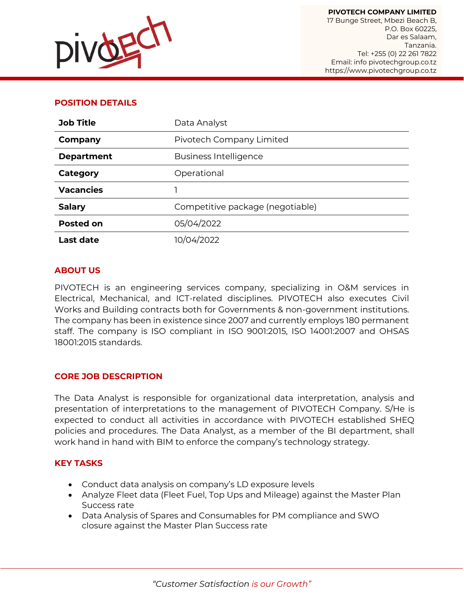

### **POSITION DETAILS**

| <b>Job Title</b>  | Data Analyst                     |
|-------------------|----------------------------------|
| Company           | Pivotech Company Limited         |
| <b>Department</b> | <b>Business Intelligence</b>     |
| Category          | Operational                      |
| <b>Vacancies</b>  |                                  |
| <b>Salary</b>     | Competitive package (negotiable) |
| <b>Posted on</b>  | 05/04/2022                       |
| <b>Last date</b>  | 10/04/2022                       |

#### **ABOUT US**

PIVOTECH is an engineering services company, specializing in O&M services in Electrical, Mechanical, and ICT-related disciplines. PIVOTECH also executes Civil Works and Building contracts both for Governments & non-government institutions. The company has been in existence since 2007 and currently employs 180 permanent staff. The company is ISO compliant in ISO 9001:2015, ISO 14001:2007 and OHSAS 18001:2015 standards.

#### **CORE JOB DESCRIPTION**

The Data Analyst is responsible for organizational data interpretation, analysis and presentation of interpretations to the management of PIVOTECH Company. S/He is expected to conduct all activities in accordance with PIVOTECH established SHEQ policies and procedures. The Data Analyst, as a member of the BI department, shall work hand in hand with BIM to enforce the company's technology strategy.

#### **KEY TASKS**

- Conduct data analysis on company's LD exposure levels
- Analyze Fleet data (Fleet Fuel, Top Ups and Mileage) against the Master Plan Success rate
- Data Analysis of Spares and Consumables for PM compliance and SWO closure against the Master Plan Success rate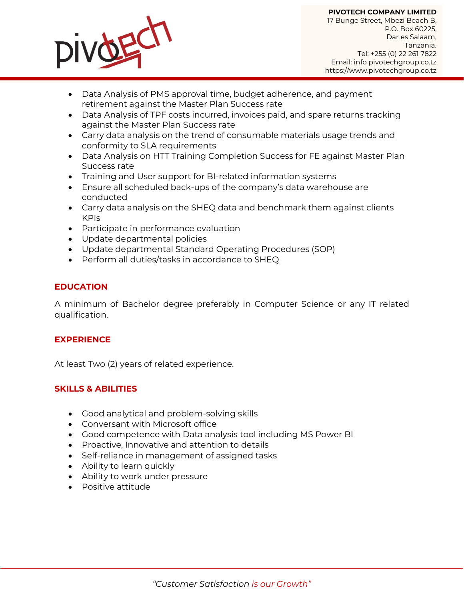

**PIVOTECH COMPANY LIMITED** 17 Bunge Street, Mbezi Beach B, P.O. Box 60225, Dar es Salaam, Tanzania. Tel: +255 (0) 22 261 7822 Email: info pivotechgroup.co.tz https://www.pivotechgroup.co.tz

- Data Analysis of PMS approval time, budget adherence, and payment retirement against the Master Plan Success rate
- Data Analysis of TPF costs incurred, invoices paid, and spare returns tracking against the Master Plan Success rate
- Carry data analysis on the trend of consumable materials usage trends and conformity to SLA requirements
- Data Analysis on HTT Training Completion Success for FE against Master Plan Success rate
- Training and User support for BI-related information systems
- Ensure all scheduled back-ups of the company's data warehouse are conducted
- Carry data analysis on the SHEQ data and benchmark them against clients KPIs
- Participate in performance evaluation
- Update departmental policies
- Update departmental Standard Operating Procedures (SOP)
- Perform all duties/tasks in accordance to SHEQ

## **EDUCATION**

A minimum of Bachelor degree preferably in Computer Science or any IT related qualification.

#### **EXPERIENCE**

At least Two (2) years of related experience.

#### **SKILLS & ABILITIES**

- Good analytical and problem-solving skills
- Conversant with Microsoft office
- Good competence with Data analysis tool including MS Power BI
- Proactive, Innovative and attention to details
- Self-reliance in management of assigned tasks
- Ability to learn quickly
- Ability to work under pressure
- Positive attitude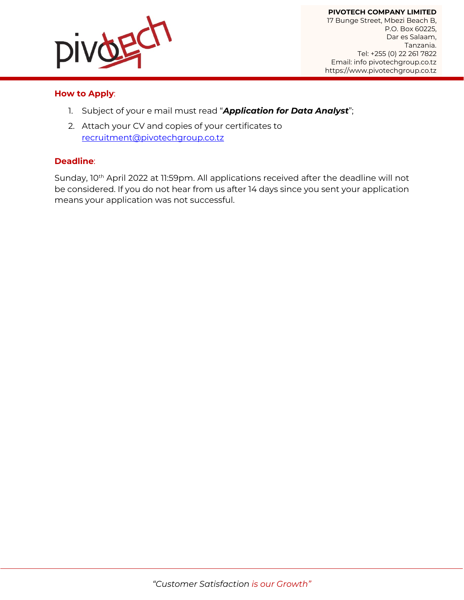

#### **How to Apply**:

- 1. Subject of your e mail must read "*Application for Data Analyst*";
- 2. Attach your CV and copies of your certificates to [recruitment@pivotechgroup.co.tz](mailto:recruitment@pivotechgroup.co.tz)

#### **Deadline**:

Sunday, 10<sup>th</sup> April 2022 at 11:59pm. All applications received after the deadline will not be considered. If you do not hear from us after 14 days since you sent your application means your application was not successful.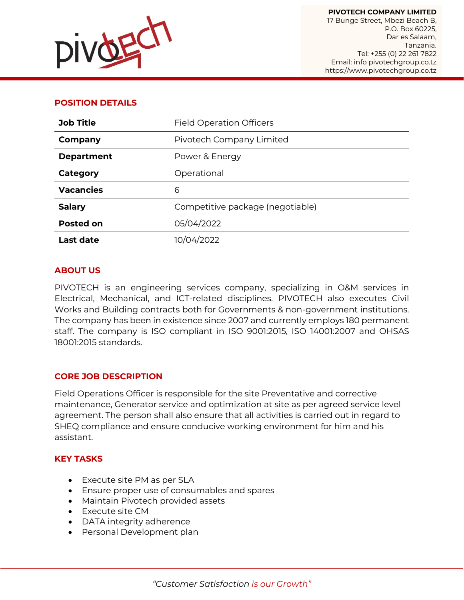

### **POSITION DETAILS**

| <b>Job Title</b>  | <b>Field Operation Officers</b>  |
|-------------------|----------------------------------|
| Company           | Pivotech Company Limited         |
| <b>Department</b> | Power & Energy                   |
| Category          | Operational                      |
| <b>Vacancies</b>  | 6                                |
| <b>Salary</b>     | Competitive package (negotiable) |
| <b>Posted on</b>  | 05/04/2022                       |
| <b>Last date</b>  | 10/04/2022                       |

#### **ABOUT US**

PIVOTECH is an engineering services company, specializing in O&M services in Electrical, Mechanical, and ICT-related disciplines. PIVOTECH also executes Civil Works and Building contracts both for Governments & non-government institutions. The company has been in existence since 2007 and currently employs 180 permanent staff. The company is ISO compliant in ISO 9001:2015, ISO 14001:2007 and OHSAS 18001:2015 standards.

#### **CORE JOB DESCRIPTION**

Field Operations Officer is responsible for the site Preventative and corrective maintenance, Generator service and optimization at site as per agreed service level agreement. The person shall also ensure that all activities is carried out in regard to SHEQ compliance and ensure conducive working environment for him and his assistant.

#### **KEY TASKS**

- Execute site PM as per SLA
- Ensure proper use of consumables and spares
- Maintain Pivotech provided assets
- Execute site CM
- DATA integrity adherence
- Personal Development plan